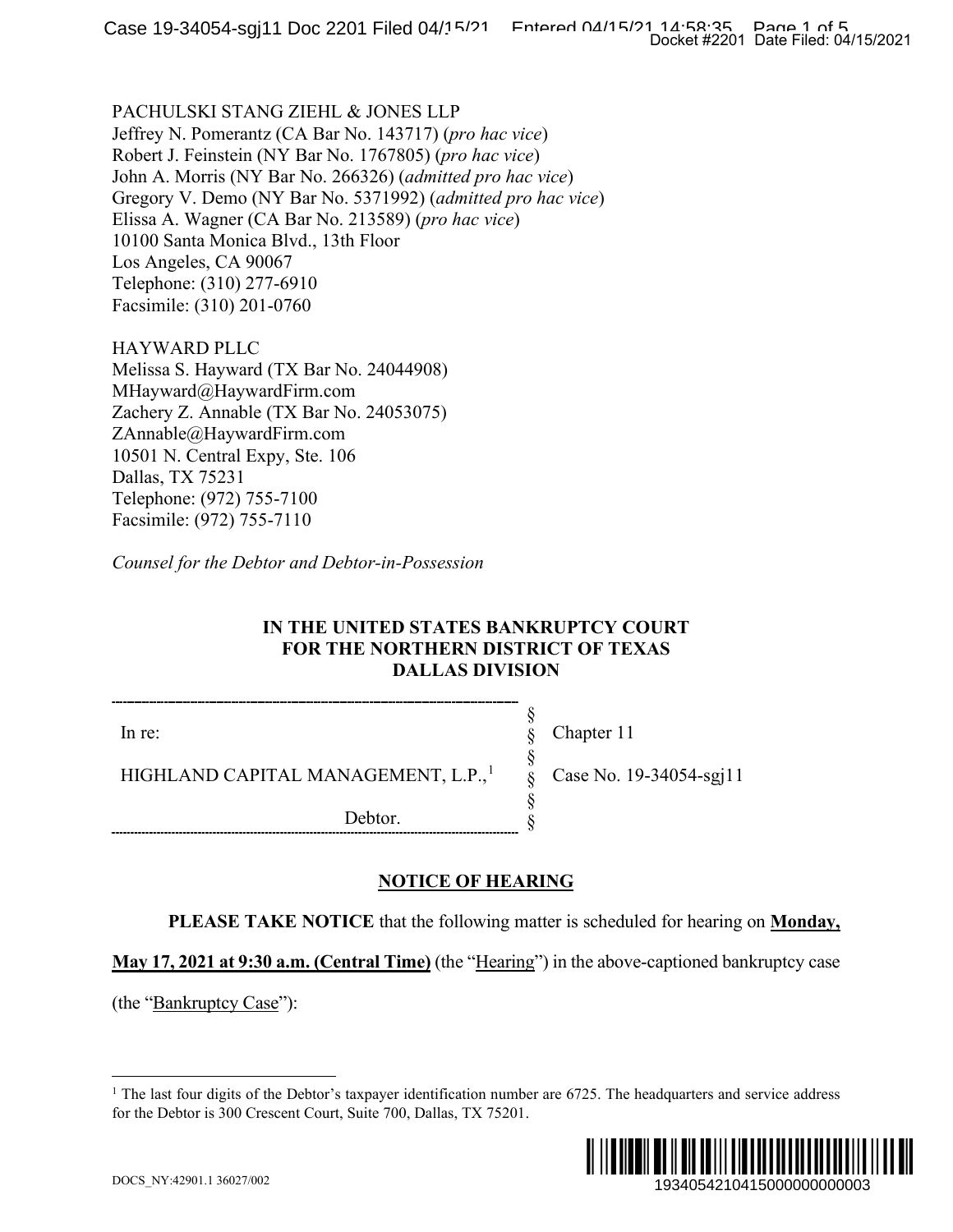PACHULSKI STANG ZIEHL & JONES LLP Jeffrey N. Pomerantz (CA Bar No. 143717) (*pro hac vice*) Robert J. Feinstein (NY Bar No. 1767805) (*pro hac vice*) John A. Morris (NY Bar No. 266326) (*admitted pro hac vice*) Gregory V. Demo (NY Bar No. 5371992) (*admitted pro hac vice*) Elissa A. Wagner (CA Bar No. 213589) (*pro hac vice*) 10100 Santa Monica Blvd., 13th Floor Los Angeles, CA 90067 Telephone: (310) 277-6910 Facsimile: (310) 201-0760

HAYWARD PLLC Melissa S. Hayward (TX Bar No. 24044908) MHayward@HaywardFirm.com Zachery Z. Annable (TX Bar No. 24053075) ZAnnable@HaywardFirm.com 10501 N. Central Expy, Ste. 106 Dallas, TX 75231 Telephone: (972) 755-7100 Facsimile: (972) 755-7110

*Counsel for the Debtor and Debtor-in-Possession*

## **IN THE UNITED STATES BANKRUPTCY COURT FOR THE NORTHERN DISTRICT OF TEXAS DALLAS DIVISION**

In re:

Chapter 11

Case No. 19-34054-sgj11

HIGHLAND CAPITAL MANAGEMENT, L.P.,<sup>[1](#page-0-0)</sup>

Debtor.

## **NOTICE OF HEARING**

**PLEASE TAKE NOTICE** that the following matter is scheduled for hearing on **Monday,** 

§ § § § § §

**May 17, 2021 at 9:30 a.m. (Central Time)** (the "Hearing") in the above-captioned bankruptcy case

<span id="page-0-0"></span>(the "Bankruptcy Case"):

<sup>&</sup>lt;sup>1</sup> The last four digits of the Debtor's taxpayer identification number are  $6725$ . The headquarters and service address for the Debtor is 300 Crescent Court, Suite 700, Dallas, TX 75201.

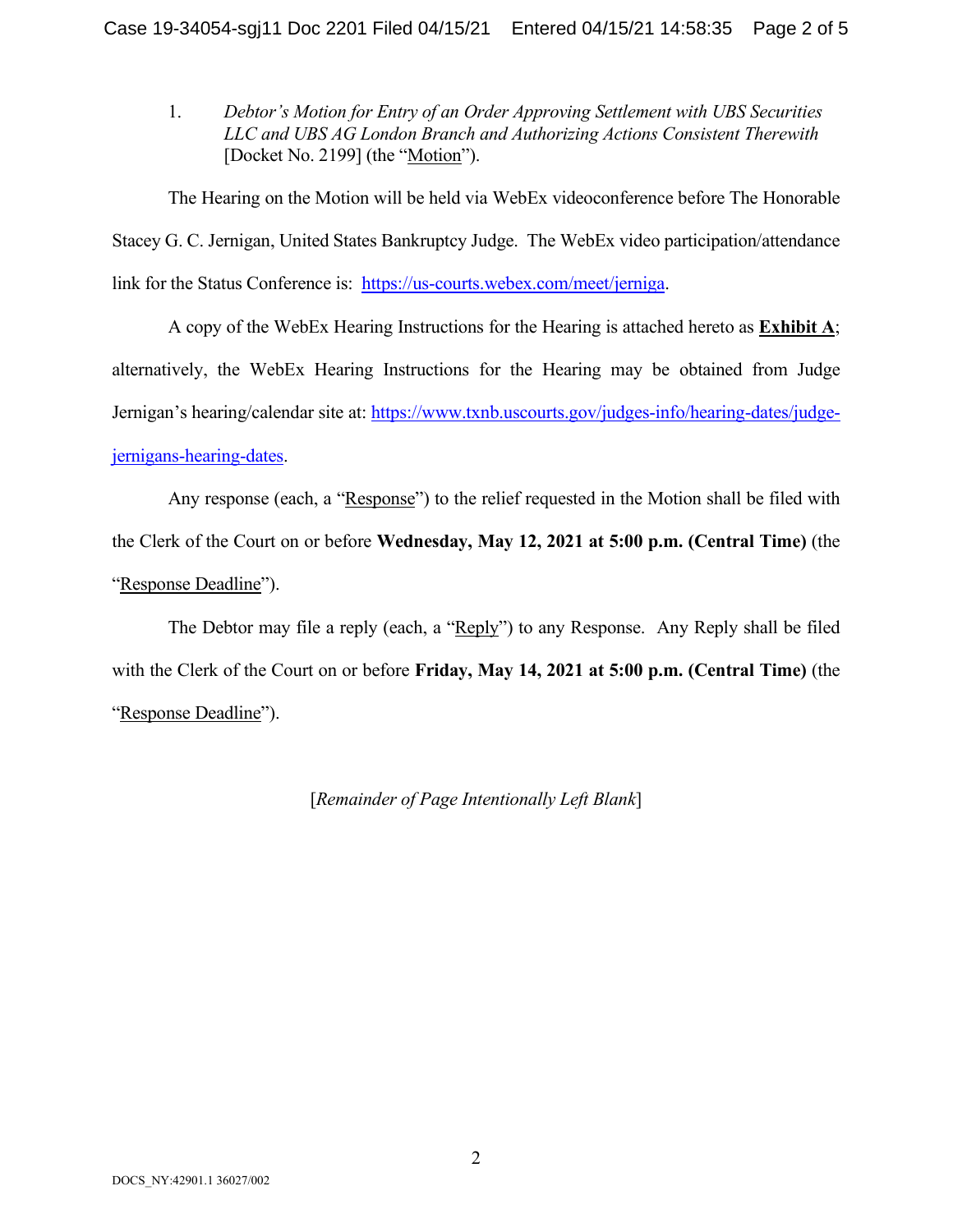1. *Debtor's Motion for Entry of an Order Approving Settlement with UBS Securities LLC and UBS AG London Branch and Authorizing Actions Consistent Therewith* [Docket No. 2199] (the "Motion").

The Hearing on the Motion will be held via WebEx videoconference before The Honorable Stacey G. C. Jernigan, United States Bankruptcy Judge. The WebEx video participation/attendance link for the Status Conference is: [https://us-courts.webex.com/meet/jerniga.](https://us-courts.webex.com/meet/jerniga)

A copy of the WebEx Hearing Instructions for the Hearing is attached hereto as **Exhibit A**; alternatively, the WebEx Hearing Instructions for the Hearing may be obtained from Judge Jernigan's hearing/calendar site at: [https://www.txnb.uscourts.gov/judges-info/hearing-dates/judge](https://www.txnb.uscourts.gov/judges-info/hearing-dates/judge-jernigans-hearing-dates)[jernigans-hearing-dates.](https://www.txnb.uscourts.gov/judges-info/hearing-dates/judge-jernigans-hearing-dates)

Any response (each, a "Response") to the relief requested in the Motion shall be filed with the Clerk of the Court on or before **Wednesday, May 12, 2021 at 5:00 p.m. (Central Time)** (the "Response Deadline").

The Debtor may file a reply (each, a "Reply") to any Response. Any Reply shall be filed with the Clerk of the Court on or before **Friday, May 14, 2021 at 5:00 p.m. (Central Time)** (the "Response Deadline").

[*Remainder of Page Intentionally Left Blank*]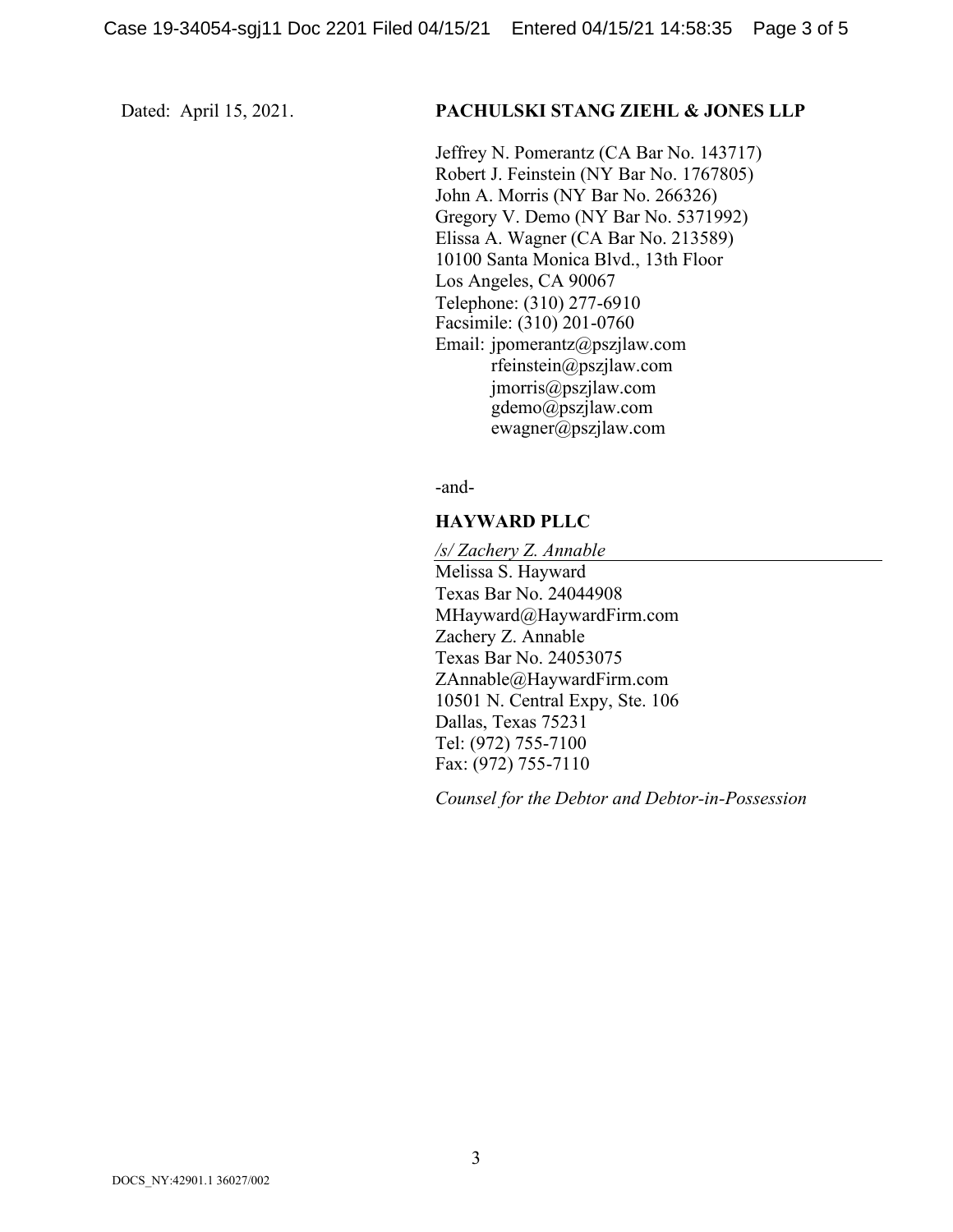#### Dated: April 15, 2021. **PACHULSKI STANG ZIEHL & JONES LLP**

Jeffrey N. Pomerantz (CA Bar No. 143717) Robert J. Feinstein (NY Bar No. 1767805) John A. Morris (NY Bar No. 266326) Gregory V. Demo (NY Bar No. 5371992) Elissa A. Wagner (CA Bar No. 213589) 10100 Santa Monica Blvd., 13th Floor Los Angeles, CA 90067 Telephone: (310) 277-6910 Facsimile: (310) 201-0760 Email: jpomerantz@pszjlaw.com rfeinstein@pszjlaw.com jmorris@pszjlaw.com gdemo@pszjlaw.com ewagner@pszjlaw.com

-and-

#### **HAYWARD PLLC**

*/s/ Zachery Z. Annable* Melissa S. Hayward Texas Bar No. 24044908 MHayward@HaywardFirm.com Zachery Z. Annable Texas Bar No. 24053075 ZAnnable@HaywardFirm.com 10501 N. Central Expy, Ste. 106 Dallas, Texas 75231 Tel: (972) 755-7100 Fax: (972) 755-7110

*Counsel for the Debtor and Debtor-in-Possession*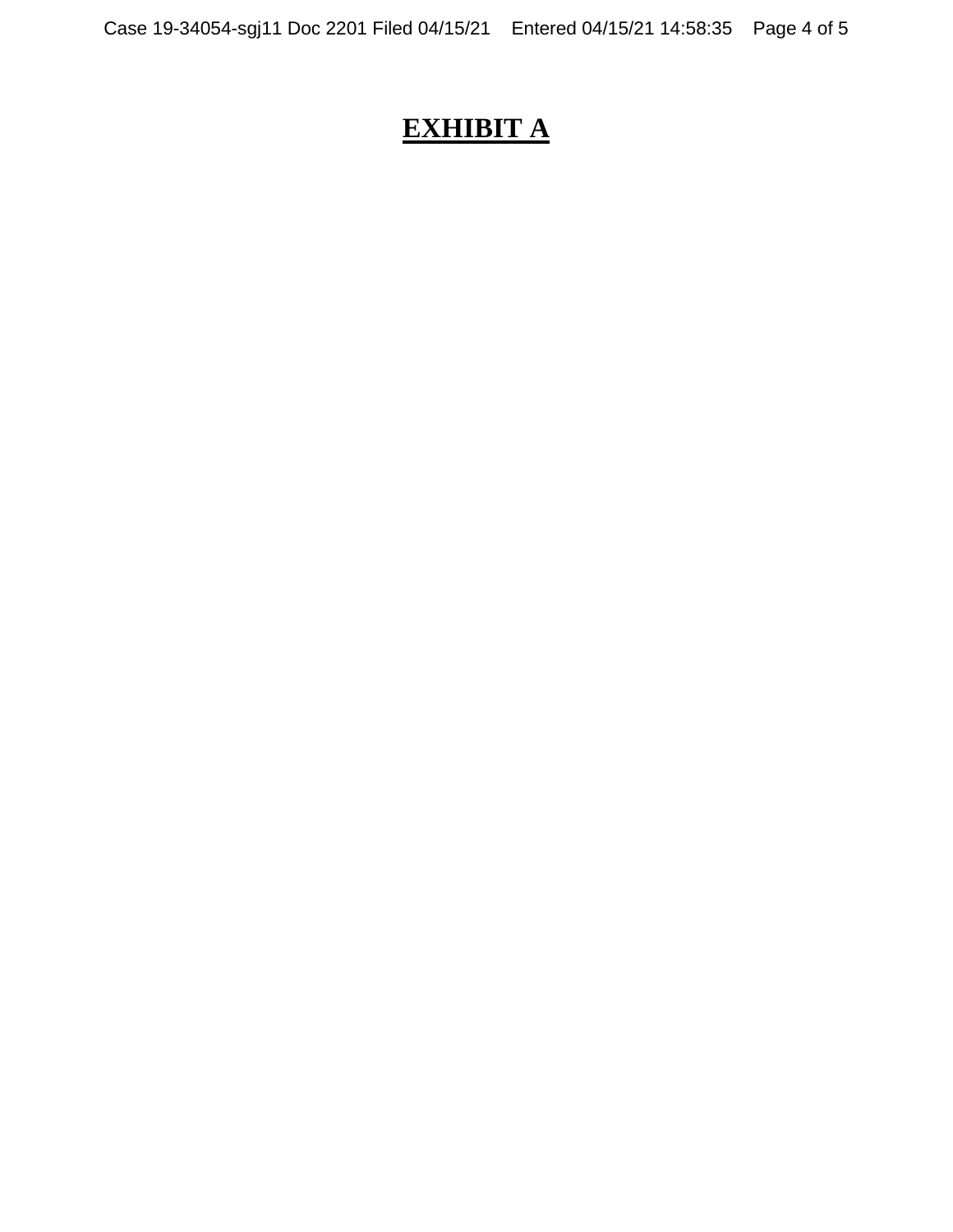# **EXHIBIT A**